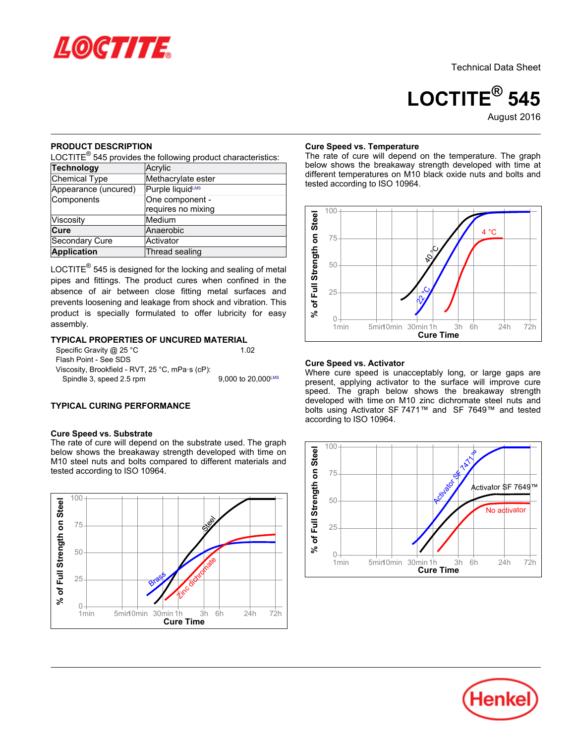

**LOCTITE® 545**August-2016

## **PRODUCT DESCRIPTION**

nebeed BESSINI TISK<br>LOCTITE<sup>®</sup> 545 provides the following product characteristics:

| Technology            | Acrylic            |  |  |  |
|-----------------------|--------------------|--|--|--|
| Chemical Type         | Methacrylate ester |  |  |  |
| Appearance (uncured)  | Purple liquidLMS   |  |  |  |
| Components            | One component -    |  |  |  |
|                       | requires no mixing |  |  |  |
| Viscosity             | Medium             |  |  |  |
| Cure                  | Anaerobic          |  |  |  |
| <b>Secondary Cure</b> | Activator          |  |  |  |
| <b>Application</b>    | Thread sealing     |  |  |  |

LOCTITE $^{\circledR}$  545 is designed for the locking and sealing of metal pipes and fittings. The product cures when confined in the absence of air between close fitting metal surfaces and prevents loosening and leakage from shock and vibration. This product is specially formulated to offer lubricity for easy assembly.

## **TYPICAL PROPERTIES OF UNCURED MATERIAL**

| Specific Gravity @ 25 °C                                | 1.02                           |
|---------------------------------------------------------|--------------------------------|
| Flash Point - See SDS                                   |                                |
| Viscosity, Brookfield - RVT, 25 °C, mPa $\cdot$ s (cP): |                                |
| Spindle 3, speed 2.5 rpm                                | 9.000 to $20.000^{\text{LMS}}$ |
|                                                         |                                |

# **TYPICAL CURING PERFORMANCE**

## **Cure Speed vs. Substrate**

The rate of cure will depend on the substrate used. The graph below shows the breakaway strength developed with time on M10 steel nuts and bolts compared to different materials and who steer hats and boits com-<br>tested according to ISO 10964.



## **Cure Speed vs. Temperature**

The rate of cure will depend on the temperature. The graph below shows the breakaway strength developed with time at different temperatures on M10 black oxide nuts and bolts and tested according to ISO 10964.



## **Cure Speed vs. Activator**

Where cure speed is unacceptably long, or large gaps are present, applying activator to the surface will improve cure present, applying activator to the sanace will improve care<br>speed. The graph below shows the breakaway strength developed with time on M10 zinc dichromate steel nuts and bolts using Activator SF 7471™ and SF 7649™ and tested bolts dollig 7 tellvator of<br>according to ISO 10964.



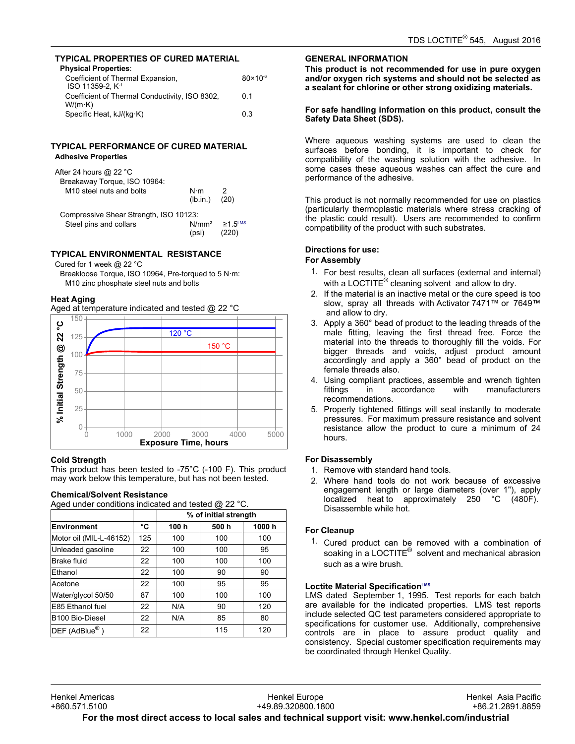# **TYPICAL PROPERTIES OF CURED MATERIAL**

| <b>Physical Properties:</b>                                       |                     |
|-------------------------------------------------------------------|---------------------|
| Coefficient of Thermal Expansion,<br>ISO 11359-2. K <sup>-1</sup> | $80 \times 10^{-6}$ |
| Coefficient of Thermal Conductivity, ISO 8302,<br>$W/(m \cdot K)$ | 0 <sub>1</sub>      |
| Specific Heat, kJ/(kg·K)                                          | 0.3                 |

## **TYPICAL PERFORMANCE OF CURED MATERIAL Adhesive Properties**

| After 24 hours $@$ 22 °C<br>Breakaway Torque, ISO 10964:<br>M <sub>10</sub> steel nuts and bolts | N⋅m<br>(lb.in.)            | (20)                      |
|--------------------------------------------------------------------------------------------------|----------------------------|---------------------------|
| Compressive Shear Strength, ISO 10123:                                                           |                            |                           |
| Steel pins and collars                                                                           | N/mm <sup>2</sup><br>(psi) | $\geq$ 1 5 <sup>LMS</sup> |

## **TYPICAL ENVIRONMENTAL RESISTANCE**

Cured for 1 week @ 22 °C

Breakloose Torque, ISO 10964, Pre-torqued to 5 N·m: M10 zinc phosphate steel nuts and bolts

# **Heat Aging**

Aged at temperature indicated and tested @ 22 °C



## **Cold Strength**

This product has been tested to -75°C (-100 F). This product may product has been tested to -75 G (-166 F). This pro<br>may work below this temperature, but has not been tested.

| <b>Chemical/Solvent Resistance</b>                    |  |
|-------------------------------------------------------|--|
| Aged under conditions indicated and tested $@$ 22 °C. |  |

|                            |     | % of initial strength |      |       |
|----------------------------|-----|-----------------------|------|-------|
| <b>Environment</b>         | °C  | 100 h                 | 500h | 1000h |
| Motor oil (MIL-L-46152)    | 125 | 100                   | 100  | 100   |
| Unleaded gasoline          | 22  | 100                   | 100  | 95    |
| Brake fluid                | 22  | 100                   | 100  | 100   |
| Ethanol                    | 22  | 100                   | 90   | 90    |
| Acetone                    | 22  | 100                   | 95   | 95    |
| Water/glycol 50/50         | 87  | 100                   | 100  | 100   |
| E85 Ethanol fuel           | 22  | N/A                   | 90   | 120   |
| B100 Bio-Diesel            | 22  | N/A                   | 85   | 80    |
| DEF (AdBlue <sup>®</sup> ) | 22  |                       | 115  | 120   |

## **GENERAL INFORMATION**

**This product is not recommended for use in pure oxygen and/or oxygen rich systems and should not be selected as a sealant for chlorine or other strong oxidizing materials.**

## **For safe handling information on this product, consult the Safety Data Sheet (SDS).**

Where aqueous washing systems are used to clean the surfaces before bonding, it is important to check for compatibility of the washing solution with the adhesive. In some cases these aqueous washes can affect the cure and performance of the adhesive.

This product is not normally recommended for use on plastics (particularly thermoplastic materials where stress cracking of the plastic could result). Users are recommended to confirm are plastic codid resulty. Obers are recommentationally

## **Directions for use:**

# **For Assembly**

- 1. For best results, clean all surfaces (external and internal) or seet resulte, siearl all sarraces (external and in<br>with a LOCTITE® cleaning solvent and allow to dry.
- 2. If the material is an inactive metal or the cure speed is too slow, spray all threads with Activator 7471™ or 7649™ and allow to dry.
- 3. Apply a 360° bead of product to the leading threads of the male fitting, leaving the first thread free. Force the mate inting, identify the first thread free. Force the<br>material into the threads to thoroughly fill the voids. For bigger threads and voids, adjust product amount accordingly and apply a 360° bead of product on the female threads also.
- 4. Using compliant practices, assemble and wrench tighten fittings in accordance with manufacturers fittings in accordance<br>recommendations.
- 5. Properly tightened fittings will seal instantly to moderate pressures. For maximum pressure resistance and solvent resistance allow the product to cure a minimum of 24 hours.

## **For Disassembly**

- <sub>2</sub>. *Disassemary*<br>1. Remove with standard hand tools.
- 2. Where hand tools do not work because of excessive engagement length or large diameters (over 1"), apply localized heat to approximately 250 °C (480F). Disassemble while hot.

## **For Cleanup**

1. Cured product can be removed with a combination of soaking in a LOCTITE<sup>®</sup> solvent and mechanical abrasion<br>soaking in a LOCTITE<sup>®</sup> solvent and mechanical abrasion such as a wire brush.

## **Loctite Material SpecificationLMS**

LMS dated September-1, 1995. Test reports for each batch are available for the indicated properties. LMS test reports include selected QC test parameters considered appropriate to specifications for customer use. Additionally, comprehensive controls are in place to assure product quality and consistency. Special customer specification requirements may be coordinated through Henkel Quality.